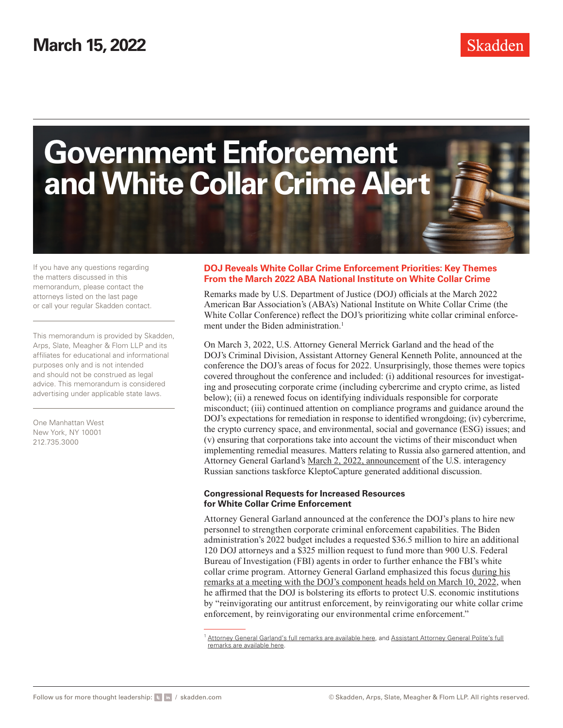

If you have any questions regarding the matters discussed in this memorandum, please contact the attorneys listed on the last page or call your regular Skadden contact.

This memorandum is provided by Skadden, Arps, Slate, Meagher & Flom LLP and its affiliates for educational and informational purposes only and is not intended and should not be construed as legal advice. This memorandum is considered advertising under applicable state laws.

One Manhattan West New York, NY 10001 212.735.3000

### **DOJ Reveals White Collar Crime Enforcement Priorities: Key Themes From the March 2022 ABA National Institute on White Collar Crime**

Remarks made by U.S. Department of Justice (DOJ) officials at the March 2022 American Bar Association's (ABA's) National Institute on White Collar Crime (the White Collar Conference) reflect the DOJ's prioritizing white collar criminal enforcement under the Biden administration.<sup>1</sup>

On March 3, 2022, U.S. Attorney General Merrick Garland and the head of the DOJ's Criminal Division, Assistant Attorney General Kenneth Polite, announced at the conference the DOJ's areas of focus for 2022. Unsurprisingly, those themes were topics covered throughout the conference and included: (i) additional resources for investigating and prosecuting corporate crime (including cybercrime and crypto crime, as listed below); (ii) a renewed focus on identifying individuals responsible for corporate misconduct; (iii) continued attention on compliance programs and guidance around the DOJ's expectations for remediation in response to identified wrongdoing; (iv) cybercrime, the crypto currency space, and environmental, social and governance (ESG) issues; and (v) ensuring that corporations take into account the victims of their misconduct when implementing remedial measures. Matters relating to Russia also garnered attention, and Attorney General Garland's [March 2, 2022, announcement](https://www.justice.gov/opa/pr/attorney-general-merrick-b-garland-announces-launch-task-force-kleptocapture) of the U.S. interagency Russian sanctions taskforce KleptoCapture generated additional discussion.

#### **Congressional Requests for Increased Resources for White Collar Crime Enforcement**

Attorney General Garland announced at the conference the DOJ's plans to hire new personnel to strengthen corporate criminal enforcement capabilities. The Biden administration's 2022 budget includes a requested \$36.5 million to hire an additional 120 DOJ attorneys and a \$325 million request to fund more than 900 U.S. Federal Bureau of Investigation (FBI) agents in order to further enhance the FBI's white collar crime program. Attorney General Garland emphasized this focus [during his](https://www.justice.gov/opa/speech/attorney-general-merrick-b-garland-delivers-remarks-meeting-justice-department-component) [remarks at a meeting with the DOJ's component heads held on March 10, 2022](https://www.justice.gov/opa/speech/attorney-general-merrick-b-garland-delivers-remarks-meeting-justice-department-component), when he affirmed that the DOJ is bolstering its efforts to protect U.S. economic institutions by "reinvigorating our antitrust enforcement, by reinvigorating our white collar crime enforcement, by reinvigorating our environmental crime enforcement."

<sup>&</sup>lt;sup>1</sup> [Attorney General Garland's full remarks are available here](https://www.justice.gov/opa/speech/attorney-general-merrick-b-garland-delivers-remarks-aba-institute-white-collar-crime), and [Assistant Attorney General Polite's full](https://www.justice.gov/opa/speech/assistant-attorney-general-kenneth-polite-jr-delivers-justice-department-keynote-aba) [remarks are available here.](https://www.justice.gov/opa/speech/assistant-attorney-general-kenneth-polite-jr-delivers-justice-department-keynote-aba)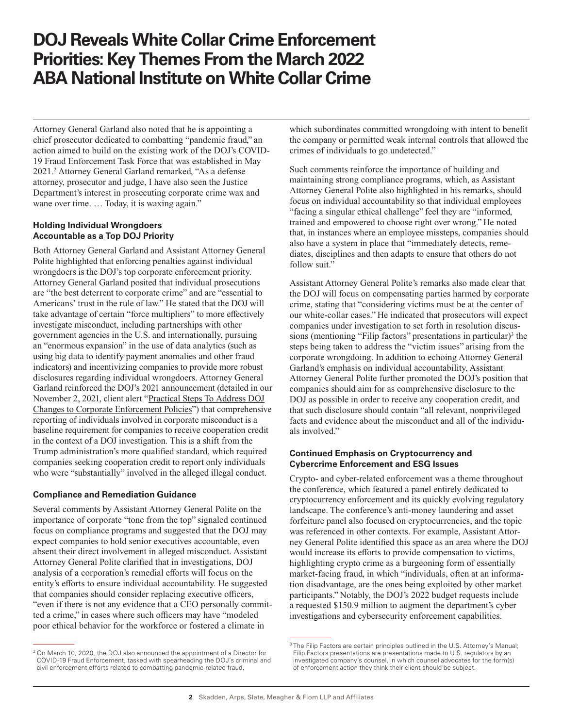# **DOJ Reveals White Collar Crime Enforcement Priorities: Key Themes From the March 2022 ABA National Institute on White Collar Crime**

Attorney General Garland also noted that he is appointing a chief prosecutor dedicated to combatting "pandemic fraud," an action aimed to build on the existing work of the DOJ's COVID-19 Fraud Enforcement Task Force that was established in May 2021.2 Attorney General Garland remarked, "As a defense attorney, prosecutor and judge, I have also seen the Justice Department's interest in prosecuting corporate crime wax and wane over time. ... Today, it is waxing again."

### **Holding Individual Wrongdoers Accountable as a Top DOJ Priority**

Both Attorney General Garland and Assistant Attorney General Polite highlighted that enforcing penalties against individual wrongdoers is the DOJ's top corporate enforcement priority. Attorney General Garland posited that individual prosecutions are "the best deterrent to corporate crime" and are "essential to Americans' trust in the rule of law." He stated that the DOJ will take advantage of certain "force multipliers" to more effectively investigate misconduct, including partnerships with other government agencies in the U.S. and internationally, pursuing an "enormous expansion" in the use of data analytics (such as using big data to identify payment anomalies and other fraud indicators) and incentivizing companies to provide more robust disclosures regarding individual wrongdoers. Attorney General Garland reinforced the DOJ's 2021 announcement (detailed in our November 2, 2021, client alert ["Practical Steps To Address DOJ](https://www.skadden.com/insights/publications/2021/11/practical-steps-to-address-doj-changes) [Changes to Corporate Enforcement Policies"](https://www.skadden.com/insights/publications/2021/11/practical-steps-to-address-doj-changes)) that comprehensive reporting of individuals involved in corporate misconduct is a baseline requirement for companies to receive cooperation credit in the context of a DOJ investigation. This is a shift from the Trump administration's more qualified standard, which required companies seeking cooperation credit to report only individuals who were "substantially" involved in the alleged illegal conduct.

#### **Compliance and Remediation Guidance**

Several comments by Assistant Attorney General Polite on the importance of corporate "tone from the top" signaled continued focus on compliance programs and suggested that the DOJ may expect companies to hold senior executives accountable, even absent their direct involvement in alleged misconduct. Assistant Attorney General Polite clarified that in investigations, DOJ analysis of a corporation's remedial efforts will focus on the entity's efforts to ensure individual accountability. He suggested that companies should consider replacing executive officers, "even if there is not any evidence that a CEO personally committed a crime," in cases where such officers may have "modeled poor ethical behavior for the workforce or fostered a climate in

which subordinates committed wrongdoing with intent to benefit the company or permitted weak internal controls that allowed the crimes of individuals to go undetected."

Such comments reinforce the importance of building and maintaining strong compliance programs, which, as Assistant Attorney General Polite also highlighted in his remarks, should focus on individual accountability so that individual employees "facing a singular ethical challenge" feel they are "informed, trained and empowered to choose right over wrong." He noted that, in instances where an employee missteps, companies should also have a system in place that "immediately detects, remediates, disciplines and then adapts to ensure that others do not follow suit."

Assistant Attorney General Polite's remarks also made clear that the DOJ will focus on compensating parties harmed by corporate crime, stating that "considering victims must be at the center of our white-collar cases." He indicated that prosecutors will expect companies under investigation to set forth in resolution discussions (mentioning "Filip factors" presentations in particular)<sup>3</sup> the steps being taken to address the "victim issues" arising from the corporate wrongdoing. In addition to echoing Attorney General Garland's emphasis on individual accountability, Assistant Attorney General Polite further promoted the DOJ's position that companies should aim for as comprehensive disclosure to the DOJ as possible in order to receive any cooperation credit, and that such disclosure should contain "all relevant, nonprivileged facts and evidence about the misconduct and all of the individuals involved."

### **Continued Emphasis on Cryptocurrency and Cybercrime Enforcement and ESG Issues**

Crypto- and cyber-related enforcement was a theme throughout the conference, which featured a panel entirely dedicated to cryptocurrency enforcement and its quickly evolving regulatory landscape. The conference's anti-money laundering and asset forfeiture panel also focused on cryptocurrencies, and the topic was referenced in other contexts. For example, Assistant Attorney General Polite identified this space as an area where the DOJ would increase its efforts to provide compensation to victims, highlighting crypto crime as a burgeoning form of essentially market-facing fraud, in which "individuals, often at an information disadvantage, are the ones being exploited by other market participants." Notably, the DOJ's 2022 budget requests include a requested \$150.9 million to augment the department's cyber investigations and cybersecurity enforcement capabilities.

<sup>&</sup>lt;sup>2</sup> On March 10, 2020, the DOJ also announced the appointment of a Director for COVID-19 Fraud Enforcement, tasked with spearheading the DOJ's criminal and civil enforcement efforts related to combatting pandemic-related fraud.

<sup>&</sup>lt;sup>3</sup> The Filip Factors are certain principles outlined in the U.S. Attorney's Manual; Filip Factors presentations are presentations made to U.S. regulators by an investigated company's counsel, in which counsel advocates for the form(s) of enforcement action they think their client should be subject.